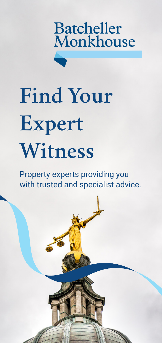

# **Find Your Expert Witness**

Property experts providing you with trusted and specialist advice.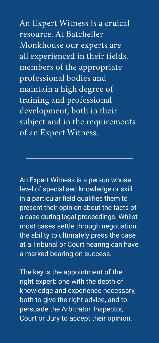An Expert Witness is a cruical resource. At Batcheller Monkhouse our experts are all experienced in their fields, members of the appropriate professional bodies and maintain a high degree of training and professional development, both in their subject and in the requirements of an Expert Witness.

An Expert Witness is a person whose level of specialised knowledge or skill in a particular field qualifies them to present their opinion about the facts of a case during legal proceedings. Whilst most cases settle through negotiation, the ability to ultimately press the case at a Tribunal or Court hearing can have a marked bearing on success.

The key is the appointment of the right expert: one with the depth of knowledge and experience necessary, both to give the right advice, and to persuade the Arbitrator, Inspector, Court or Jury to accept their opinion.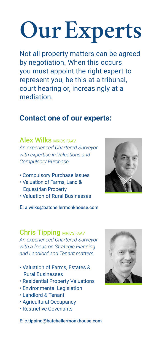# **Our Experts**

Not all property matters can be agreed by negotiation. When this occurs you must appoint the right expert to represent you, be this at a tribunal, court hearing or, increasingly at a mediation.

## **Contact one of our experts:**

**Alex Wilks MRICS FAAV** *An experienced Chartered Surveyor with expertise in Valuations and Compulsory Purchase.*

- Compulsory Purchase issues
- Valuation of Farms, Land & Equestrian Property
- Valuation of Rural Businesses

E: a.wilks@batchellermonkhouse.com

## Chris Tipping MRICS FAAV

*An experienced Chartered Surveyor with a focus on Strategic Planning and Landlord and Tenant matters.*

- Valuation of Farms, Estates & Rural Businesses
- Residential Property Valuations
- Environmental Legislation
- Landlord & Tenant
- Agricultural Occupancy
- Restrictive Covenants



E: c.tipping@batchellermonkhouse.com

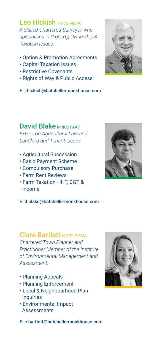Leo Hickish FRICS MBIAC *A skilled Chartered Surveyor who specialises in Property, Ownership & Taxation Issues.*

- Option & Promotion Agreements
- Capital Taxation Issues
- Restrictive Covenants
- Rights of Way & Public Access

E: l.hickish@batchellermonkhouse.com

David Blake MRICS FAAV *Expert on Agricultural Law and Landlord and Tenant issues.*

- Agricultural Succession
- Basic Payment Scheme
- Compulsory Purchase
- Farm Rent Reviews
- Farm Taxation IHT, CGT & Income

E: d.blake@batchellermonkhouse.com

## Clare Bartlett MRTPI PIEMA

*Chartered Town Planner and Practitioner Member of the Institute of Environmental Management and Assessment.* 

- Planning Appeals
- Planning Enforcement
- Local & Neighbourhood Plan Inquiries
- Environmental Impact **Assessments**

E: c.bartlett@batchellermonkhouse.com



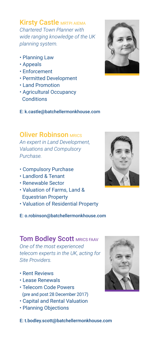**Kirsty Castle MRTPI AIEMA** *Chartered Town Planner with wide ranging knowledge of the UK planning system.*

- Planning Law
- Appeals
- Enforcement
- Permitted Development
- Land Promotion
- Agricultural Occupancy **Conditions**

E: k.castle@batchellermonkhouse.com

### **Oliver Robinson MRICS**

*An expert in Land Development, Valuations and Compulsory Purchase.*

- Compulsory Purchase
- Landlord & Tenant
- Renewable Sector
- Valuation of Farms, Land & Equestrian Property
- Valuation of Residential Property

E: o.robinson@batchellermonkhouse.com

### **Tom Bodley Scott MRICS FAAV** *One of the most experienced telecom experts in the UK, acting for Site Providers.*

- Rent Reviews
- Lease Renewals
- Telecom Code Powers (pre and post 28 December 2017)
- Capital and Rental Valuation
- Planning Objections